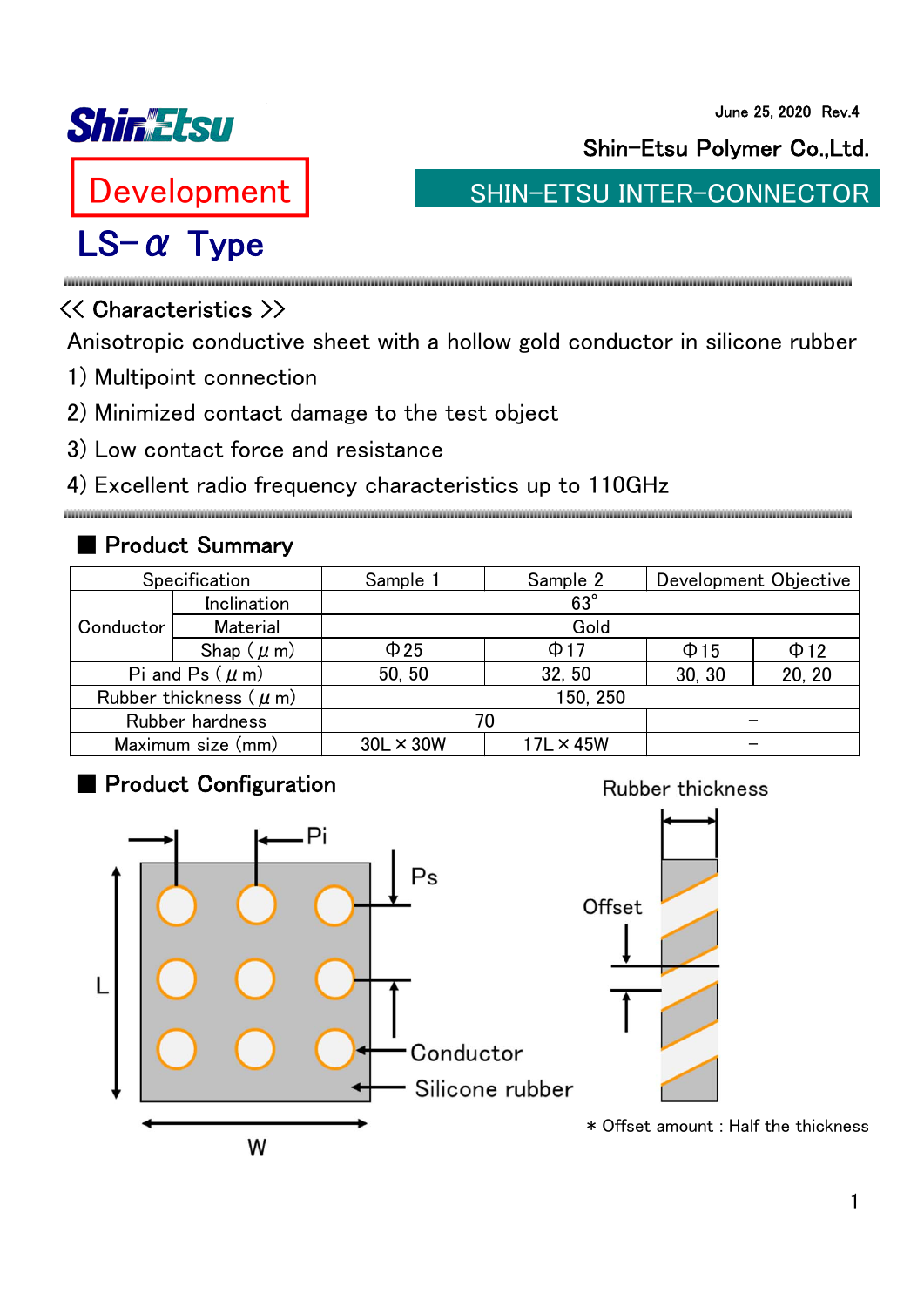

June 25, 2020 Rev.4

Development

# LS-α Type

Shin-Etsu Polymer Co.,Ltd.

SHIN-ETSU INTER-CONNECTOR

**Rubber thickness** 

## << Characteristics >>

Anisotropic conductive sheet with a hollow gold conductor in silicone rubber

- 1) Multipoint connection
- 2) Minimized contact damage to the test object
- 3) Low contact force and resistance

#### 4) Excellent radio frequency characteristics up to 110GHz

## ■ Product Summary

| Specification              |                | Sample 1         | Sample 2         | Development Objective |           |
|----------------------------|----------------|------------------|------------------|-----------------------|-----------|
| Conductor                  | Inclination    | $63^\circ$       |                  |                       |           |
|                            | Material       | Gold             |                  |                       |           |
|                            | Shap $(\mu m)$ | $\Phi$ 25        | $\Phi$ 17        | $\Phi$ 15             | $\Phi$ 12 |
| Pi and Ps $(\mu m)$        |                | 50, 50           | 32, 50           | 30, 30                | 20, 20    |
| Rubber thickness $(\mu m)$ |                | 150, 250         |                  |                       |           |
| Rubber hardness            |                | 70               |                  |                       |           |
| Maximum size (mm)          |                | $30L \times 30W$ | $17L \times 45W$ |                       |           |

#### ■ Product Configuration